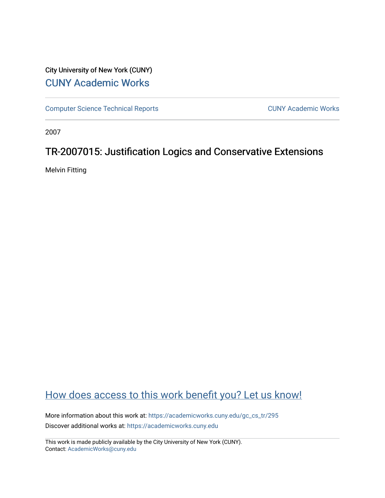# City University of New York (CUNY) [CUNY Academic Works](https://academicworks.cuny.edu/)

[Computer Science Technical Reports](https://academicworks.cuny.edu/gc_cs_tr) **CUNY Academic Works** CUNY Academic Works

2007

# TR-2007015: Justification Logics and Conservative Extensions

Melvin Fitting

# [How does access to this work benefit you? Let us know!](http://ols.cuny.edu/academicworks/?ref=https://academicworks.cuny.edu/gc_cs_tr/295)

More information about this work at: [https://academicworks.cuny.edu/gc\\_cs\\_tr/295](https://academicworks.cuny.edu/gc_cs_tr/295)  Discover additional works at: [https://academicworks.cuny.edu](https://academicworks.cuny.edu/?)

This work is made publicly available by the City University of New York (CUNY). Contact: [AcademicWorks@cuny.edu](mailto:AcademicWorks@cuny.edu)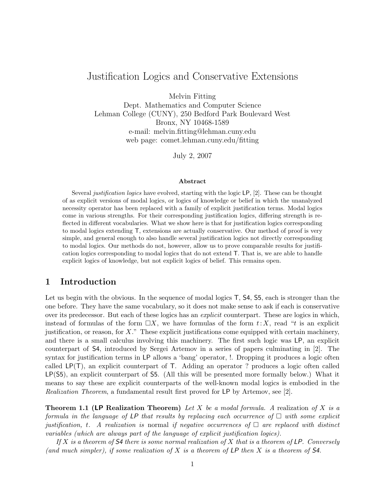## Justification Logics and Conservative Extensions

Melvin Fitting

Dept. Mathematics and Computer Science Lehman College (CUNY), 250 Bedford Park Boulevard West Bronx, NY 10468-1589 e-mail: melvin.fitting@lehman.cuny.edu web page: comet.lehman.cuny.edu/fitting

July 2, 2007

#### Abstract

Several justification logics have evolved, starting with the logic LP, [2]. These can be thought of as explicit versions of modal logics, or logics of knowledge or belief in which the unanalyzed necessity operator has been replaced with a family of explicit justification terms. Modal logics come in various strengths. For their corresponding justification logics, differing strength is reflected in different vocabularies. What we show here is that for justification logics corresponding to modal logics extending T, extensions are actually conservative. Our method of proof is very simple, and general enough to also handle several justification logics not directly corresponding to modal logics. Our methods do not, however, allow us to prove comparable results for justification logics corresponding to modal logics that do not extend T. That is, we are able to handle explicit logics of knowledge, but not explicit logics of belief. This remains open.

#### 1 Introduction

Let us begin with the obvious. In the sequence of modal logics  $\mathsf{T}$ , **S4, S5**, each is stronger than the one before. They have the same vocabulary, so it does not make sense to ask if each is conservative over its predecessor. But each of these logics has an explicit counterpart. These are logics in which, instead of formulas of the form  $\Box X$ , we have formulas of the form  $t:X$ , read "t is an explicit justification, or reason, for  $X$ ." These explicit justifications come equipped with certain machinery, and there is a small calculus involving this machinery. The first such logic was LP, an explicit counterpart of S4, introduced by Sergei Artemov in a series of papers culminating in [2]. The syntax for justification terms in LP allows a 'bang' operator, !. Dropping it produces a logic often called LP(T), an explicit counterpart of T. Adding an operator ? produces a logic often called LP(S5), an explicit counterpart of S5. (All this will be presented more formally below.) What it means to say these are explicit counterparts of the well-known modal logics is embodied in the Realization Theorem, a fundamental result first proved for LP by Artemov, see [2].

**Theorem 1.1 (LP Realization Theorem)** Let X be a modal formula. A realization of X is a formula in the language of LP that results by replacing each occurrence of  $\Box$  with some explicit justification, t. A realization is normal if negative occurrences of  $\Box$  are replaced with distinct variables (which are always part of the language of explicit justification logics).

If X is a theorem of  $S4$  there is some normal realization of X that is a theorem of LP. Conversely (and much simpler), if some realization of  $X$  is a theorem of  $LP$  then  $X$  is a theorem of  $S4$ .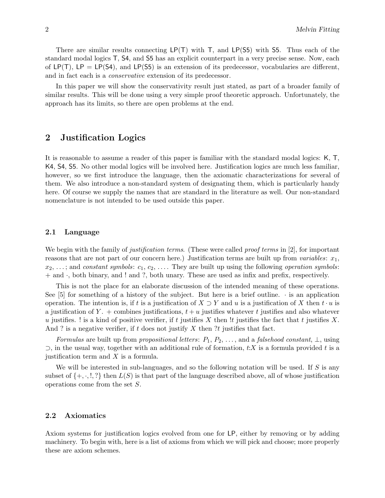There are similar results connecting  $LP(T)$  with T, and  $LP(55)$  with S5. Thus each of the standard modal logics T, S4, and S5 has an explicit counterpart in a very precise sense. Now, each of LP(T), LP = LP(S4), and LP(S5) is an extension of its predecessor, vocabularies are different, and in fact each is a conservative extension of its predecessor.

In this paper we will show the conservativity result just stated, as part of a broader family of similar results. This will be done using a very simple proof theoretic approach. Unfortunately, the approach has its limits, so there are open problems at the end.

## 2 Justification Logics

It is reasonable to assume a reader of this paper is familiar with the standard modal logics: K, T, K4, S4, S5. No other modal logics will be involved here. Justification logics are much less familiar, however, so we first introduce the language, then the axiomatic characterizations for several of them. We also introduce a non-standard system of designating them, which is particularly handy here. Of course we supply the names that are standard in the literature as well. Our non-standard nomenclature is not intended to be used outside this paper.

#### 2.1 Language

We begin with the family of *justification terms*. (These were called *proof terms* in [2], for important reasons that are not part of our concern here.) Justification terms are built up from variables:  $x_1$ ,  $x_2, \ldots$ ; and constant symbols:  $c_1, c_2, \ldots$ . They are built up using the following operation symbols: + and ·, both binary, and ! and ?, both unary. These are used as infix and prefix, respectively.

This is not the place for an elaborate discussion of the intended meaning of these operations. See  $[5]$  for something of a history of the subject. But here is a brief outline.  $\cdot$  is an application operation. The intention is, if t is a justification of  $X \supset Y$  and u is a justification of X then t  $\cdot u$  is a justification of Y. + combines justifications,  $t + u$  justifies whatever t justifies and also whatever u justifies. ! is a kind of positive verifier, if t justifies X then !t justifies the fact that t justifies X. And ? is a negative verifier, if t does not justify X then ?t justifies that fact.

Formulas are built up from propositional letters:  $P_1, P_2, \ldots$ , and a falsehood constant,  $\perp$ , using  $\supset$ , in the usual way, together with an additional rule of formation, t:X is a formula provided t is a justification term and X is a formula.

We will be interested in sub-languages, and so the following notation will be used. If S is any subset of  $\{+, \cdot, ', ', \}$  then  $L(S)$  is that part of the language described above, all of whose justification operations come from the set S.

#### 2.2 Axiomatics

Axiom systems for justification logics evolved from one for LP, either by removing or by adding machinery. To begin with, here is a list of axioms from which we will pick and choose; more properly these are axiom schemes.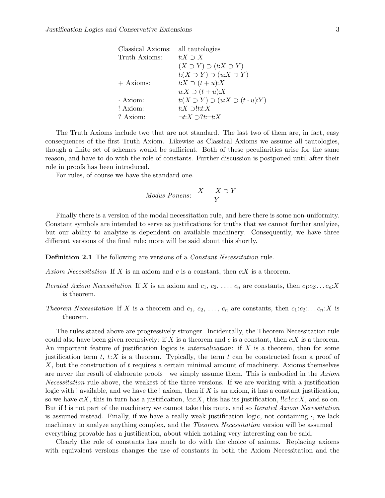| Classical Axioms: | all tautologies                                       |
|-------------------|-------------------------------------------------------|
| Truth Axioms:     | t: $X \supset X$                                      |
|                   | $(X \supset Y) \supset (t:X \supset Y)$               |
|                   | $t(X \supset Y) \supset (u:X \supset Y)$              |
| $+$ Axioms:       | $t:X \supset (t+u):X$                                 |
|                   | $u:X \supset (t+u):X$                                 |
| $\cdot$ Axiom:    | $t:(X \supset Y) \supset (u:X \supset (t \cdot u):Y)$ |
| ! Axiom:          | $t:X \supset !t:t:X$                                  |
| ? Axiom:          | $\neg t:X\supset ?t:\neg t:X$                         |
|                   |                                                       |

The Truth Axioms include two that are not standard. The last two of them are, in fact, easy consequences of the first Truth Axiom. Likewise as Classical Axioms we assume all tautologies, though a finite set of schemes would be sufficient. Both of these peculiarities arise for the same reason, and have to do with the role of constants. Further discussion is postponed until after their role in proofs has been introduced.

For rules, of course we have the standard one.

$$
Modus \; Ponens: \; \frac{X \quad X \supset Y}{Y}
$$

Finally there is a version of the modal necessitation rule, and here there is some non-uniformity. Constant symbols are intended to serve as justifications for truths that we cannot further analyize, but our ability to analyize is dependent on available machinery. Consequently, we have three different versions of the final rule; more will be said about this shortly.

Definition 2.1 The following are versions of a Constant Necessitation rule.

Axiom Necessitation If X is an axiom and c is a constant, then  $c:X$  is a theorem.

- Iterated Axiom Necessitation If X is an axiom and  $c_1, c_2, \ldots, c_n$  are constants, then  $c_1:c_2\ldots c_n:X$ is theorem.
- Theorem Necessitation If X is a theorem and  $c_1, c_2, \ldots, c_n$  are constants, then  $c_1:c_2;\ldots c_n:X$  is theorem.

The rules stated above are progressively stronger. Incidentally, the Theorem Necessitation rule could also have been given recursively: if X is a theorem and c is a constant, then  $c:X$  is a theorem. An important feature of justification logics is *internalization*: if  $X$  is a theorem, then for some justification term t, t:X is a theorem. Typically, the term t can be constructed from a proof of X, but the construction of t requires a certain minimal amount of machinery. Axioms themselves are never the result of elaborate proofs—we simply assume them. This is embodied in the Axiom Necessitation rule above, the weakest of the three versions. If we are working with a justification logic with ! available, and we have the ! axiom, then if  $X$  is an axiom, it has a constant justification, so we have c:X, this in turn has a justification,  $!c.c.X$ , this has its justification,  $!!c:c.X$ , and so on. But if ! is not part of the machinery we cannot take this route, and so *Iterated Axiom Necessitation* is assumed instead. Finally, if we have a really weak justification logic, not containing  $\cdot$ , we lack machinery to analyze anything complex, and the *Theorem Necessitation* version will be assumed everything provable has a justification, about which nothing very interesting can be said.

Clearly the role of constants has much to do with the choice of axioms. Replacing axioms with equivalent versions changes the use of constants in both the Axiom Necessitation and the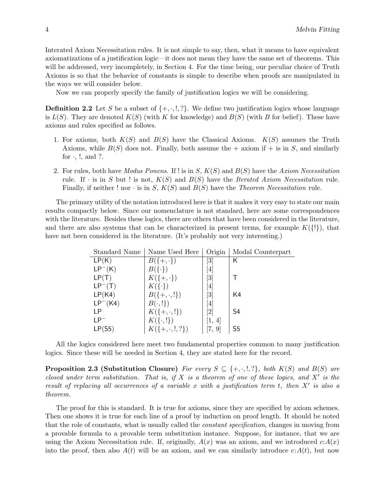Interated Axiom Necessitation rules. It is not simple to say, then, what it means to have equivalent axiomatizations of a justification logic—it does not mean they have the same set of theorems. This will be addressed, very incompletely, in Section 4. For the time being, our peculiar choice of Truth Axioms is so that the behavior of constants is simple to describe when proofs are manipulated in the ways we will consider below.

Now we can properly specify the family of justification logics we will be considering.

**Definition 2.2** Let S be a subset of  $\{+, \cdot, \cdot\}$ . We define two justification logics whose language is  $L(S)$ . They are denoted  $K(S)$  (with K for knowledge) and  $B(S)$  (with B for belief). These have axioms and rules specified as follows.

- 1. For axioms, both  $K(S)$  and  $B(S)$  have the Classical Axioms.  $K(S)$  assumes the Truth Axioms, while  $B(S)$  does not. Finally, both assume the  $+$  axiom if  $+$  is in S, and similarly for  $\cdot$ ,  $\cdot$ , and  $\cdot$ .
- 2. For rules, both have *Modus Ponens.* If ! is in  $S, K(S)$  and  $B(S)$  have the Axiom Necessitation rule. If  $\cdot$  is in S but ! is not,  $K(S)$  and  $B(S)$  have the *Iterated Axiom Necessitation* rule. Finally, if neither ! nor  $\cdot$  is in S,  $K(S)$  and  $B(S)$  have the Theorem Necessitation rule.

The primary utility of the notation introduced here is that it makes it very easy to state our main results compactly below. Since our nomenclature is not standard, here are some correspondences with the literature. Besides these logics, there are others that have been considered in the literature, and there are also systems that can be characterized in present terms, for example  $K({\{\}})$ , that have not been considered in the literature. (It's probably not very interesting.)

| Standard Name | Name Used Here              | Origin                                                                                                                                                                                | Modal Counterpart |
|---------------|-----------------------------|---------------------------------------------------------------------------------------------------------------------------------------------------------------------------------------|-------------------|
| LP(K)         | $B(\{\text{+},\cdot\})$     | $\lceil 3 \rceil$                                                                                                                                                                     | Κ                 |
| $LP^{-}(K)$   | $B(\{\cdot\})$              | $[4] % \includegraphics[width=1\textwidth]{images/TrDiM-Architecture.png} \caption{The figure shows the results of the estimators in the left hand side.} \label{TrDiM-Architecture}$ |                   |
| LP(T)         | $K(\{+,\cdot\})$            | $\left\lceil 3 \right\rceil$                                                                                                                                                          |                   |
| $LP^{-}(T)$   | $K(\{\cdot\})$              | $[4] % \includegraphics[width=0.9\columnwidth]{images/TrDiM1.png} \caption{The figure shows the number of parameters in the left and right.} \label{TrDiM2} %$                        |                   |
| LP(K4)        | $B({+, \cdot, !})$          | $[3] % \includegraphics[width=1\textwidth]{images/Traj_4.pdf} \caption{Schematic diagram of the estimators in the image.} \label{fig:Traj_4.pdf}$                                     | K4                |
| $LP^{-}(K4)$  | $B(\cdot, !)$               | $[4] % \includegraphics[width=1\textwidth]{images/TrDiM-Architecture.png} \caption{The figure shows the results of the estimators in the left hand side.} \label{TrDiM-Architecture}$ |                   |
| I P           | $K({+, \cdot, !})$          | $\left[ 2\right]$                                                                                                                                                                     | S4                |
| I PT          | $K(\{\cdot,\cdot\})$        | 1,4                                                                                                                                                                                   |                   |
| LP(S5)        | $K(\{+, \cdot, \cdot, ?\})$ | 9                                                                                                                                                                                     | S <sub>5</sub>    |

All the logics considered here meet two fundamental properties common to many justification logics. Since these will be needed in Section 4, they are stated here for the record.

**Proposition 2.3 (Substitution Closure)** For every  $S \subseteq \{+, \cdot, \cdot, \cdot\}$ , both  $K(S)$  and  $B(S)$  are closed under term substitution. That is, if  $X$  is a theorem of one of these logics, and  $X'$  is the result of replacing all occurrences of a variable x with a justification term t, then  $X'$  is also a theorem.

The proof for this is standard. It is true for axioms, since they are specified by axiom schemes. Then one shows it is true for each line of a proof by induction on proof length. It should be noted that the role of constants, what is usually called the constant specification, changes in moving from a provable formula to a provable term substitution instance. Suppose, for instance, that we are using the Axiom Necessitation rule. If, originally,  $A(x)$  was an axiom, and we introduced  $c:A(x)$ into the proof, then also  $A(t)$  will be an axiom, and we can similarly introduce  $c:A(t)$ , but now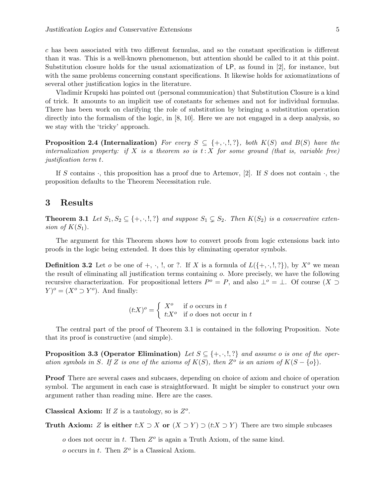c has been associated with two different formulas, and so the constant specification is different than it was. This is a well-known phenomenon, but attention should be called to it at this point. Substitution closure holds for the usual axiomatization of LP, as found in [2], for instance, but with the same problems concerning constant specifications. It likewise holds for axiomatizations of several other justification logics in the literature.

Vladimir Krupski has pointed out (personal communication) that Substitution Closure is a kind of trick. It amounts to an implicit use of constants for schemes and not for individual formulas. There has been work on clarifying the role of substitution by bringing a substitution operation directly into the formalism of the logic, in [8, 10]. Here we are not engaged in a deep analysis, so we stay with the 'tricky' approach.

**Proposition 2.4 (Internalization)** For every  $S \subseteq \{+, \cdot, \cdot\}$ , both  $K(S)$  and  $B(S)$  have the internalization property: if X is a theorem so is  $t: X$  for some ground (that is, variable free) justification term t.

If S contains  $\cdot$ , this proposition has a proof due to Artemov, [2]. If S does not contain  $\cdot$ , the proposition defaults to the Theorem Necessitation rule.

#### 3 Results

**Theorem 3.1** Let  $S_1, S_2 \subseteq \{+, \cdot, \cdot\}$  and suppose  $S_1 \subseteq S_2$ . Then  $K(S_2)$  is a conservative extension of  $K(S_1)$ .

The argument for this Theorem shows how to convert proofs from logic extensions back into proofs in the logic being extended. It does this by eliminating operator symbols.

**Definition 3.2** Let *o* be one of  $+$ ,  $\cdot$ ,  $\cdot$ , or ?. If X is a formula of  $L(\{+,\cdot,\cdot,\cdot\})$ , by  $X^o$  we mean the result of eliminating all justification terms containing o. More precisely, we have the following recursive characterization. For propositional letters  $P^o = P$ , and also  $\perp^o = \perp$ . Of course  $(X \supset$  $(Y)^o = (X^o \supset Y^o)$ . And finally:

$$
(t:X)^o = \begin{cases} X^o & \text{if } o \text{ occurs in } t \\ t:X^o & \text{if } o \text{ does not occur in } t \end{cases}
$$

The central part of the proof of Theorem 3.1 is contained in the following Proposition. Note that its proof is constructive (and simple).

**Proposition 3.3 (Operator Elimination)** Let  $S \subseteq \{+, \cdot, \cdot\}$  and assume o is one of the operation symbols in S. If Z is one of the axioms of  $K(S)$ , then  $Z^o$  is an axiom of  $K(S - \{o\})$ .

Proof There are several cases and subcases, depending on choice of axiom and choice of operation symbol. The argument in each case is straightforward. It might be simpler to construct your own argument rather than reading mine. Here are the cases.

Classical Axiom: If  $Z$  is a tautology, so is  $Z<sup>o</sup>$ .

Truth Axiom: Z is either  $t:X \supset X$  or  $(X \supset Y) \supset (t:X \supset Y)$  There are two simple subcases

 $o$  does not occur in t. Then  $Z^o$  is again a Truth Axiom, of the same kind.

 $o$  occurs in  $t$ . Then  $Z^o$  is a Classical Axiom.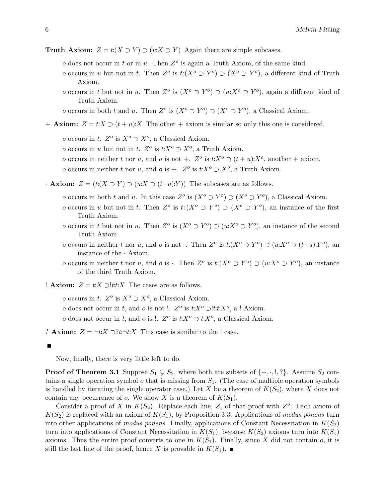- Truth Axiom:  $Z = t:(X \supset Y) \supset (u:X \supset Y)$  Again there are simple subcases.
	- $o$  does not occur in t or in u. Then  $Z<sup>o</sup>$  is again a Truth Axiom, of the same kind.
	- o occurs in u but not in t. Then  $Z^o$  is  $t:(X^o \supset Y^o) \supset (X^o \supset Y^o)$ , a different kind of Truth Axiom.
	- o occurs in t but not in u. Then  $Z^o$  is  $(X^o \supset Y^o) \supset (u:X^o \supset Y^o)$ , again a different kind of Truth Axiom.
	- o occurs in both t and u. Then  $Z^o$  is  $(X^o \supset Y^o) \supset (X^o \supset Y^o)$ , a Classical Axiom.
- + **Axiom:**  $Z = t:X \supset (t+u):X$  The other + axiom is similar so only this one is considered.
	- o occurs in t.  $Z^o$  is  $X^o \supset X^o$ , a Classical Axiom.
	- *o* occurs in *u* but not in *t*.  $Z^o$  is  $t: X^o \supset X^o$ , a Truth Axiom.
	- o occurs in neither t nor u, and o is not +.  $Z^o$  is  $t:X^o \supset (t+u):X^o$ , another + axiom.
	- o occurs in neither t nor u, and o is +.  $Z^o$  is  $t:X^o \supset X^o$ , a Truth Axiom.
- **Axiom:**  $Z = (t:(X \supset Y) \supset (u:X \supset (t \cdot u):Y))$  The subcases are as follows.
	- o occurs in both t and u. In this case  $Z^o$  is  $(X^o \supset Y^o) \supset (X^o \supset Y^o)$ , a Classical Axiom.
	- o occurs in u but not in t. Then  $Z^o$  is  $t:(X^o \supset Y^o) \supset (X^o \supset Y^o)$ , an instance of the first Truth Axiom.
	- o occurs in t but not in u. Then  $Z^o$  is  $(X^o \supset Y^o) \supset (u:X^o \supset Y^o)$ , an instance of the second Truth Axiom.
	- o occurs in neither t nor u, and o is not. Then  $Z^o$  is  $t:(X^o \supset Y^o) \supset (u:X^o \supset (t \cdot u):Y^o)$ , an instance of the · Axiom.
	- o occurs in neither t nor u, and o is  $\cdot$ . Then  $Z^o$  is  $t:(X^o \supset Y^o) \supset (u:X^o \supset Y^o)$ , an instance of the third Truth Axiom.
- ! **Axiom:**  $Z = t: X \supset !t:t:X$  The cases are as follows.
	- o occurs in t.  $Z^o$  is  $X^o \supset X^o$ , a Classical Axiom.
	- o does not occur in t, and o is not !.  $Z^o$  is  $t:X^o \supset !tt:X^o$ , a ! Axiom.
	- o does not occur in t, and o is !.  $Z^o$  is  $t: X^o \supset t: X^o$ , a Classical Axiom.

? **Axiom:**  $Z = \neg t: X \supset ?t : \neg t: X$  This case is similar to the ! case.

Now, finally, there is very little left to do.

**Proof of Theorem 3.1** Suppose  $S_1 \subsetneq S_2$ , where both are subsets of  $\{+, \cdot, \cdot, \cdot\}$ . Assume  $S_2$  contains a single operation symbol  $\sigma$  that is missing from  $S_1$ . (The case of multiple operation symbols is handled by iterating the single operator case.) Let X be a theorem of  $K(S_2)$ , where X does not contain any occurrence of o. We show X is a theorem of  $K(S_1)$ .

Consider a proof of X in  $K(S_2)$ . Replace each line, Z, of that proof with  $Z^o$ . Each axiom of  $K(S_2)$  is replaced with an axiom of  $K(S_1)$ , by Proposition 3.3. Applications of modus ponens turn into other applications of modus ponens. Finally, applications of Constant Necessitation in  $K(S_2)$ turn into applications of Constant Necessitation in  $K(S_1)$ , because  $K(S_2)$  axioms turn into  $K(S_1)$ axioms. Thus the entire proof converts to one in  $K(S_1)$ . Finally, since X did not contain o, it is still the last line of the proof, hence X is provable in  $K(S_1)$ .

 $\blacksquare$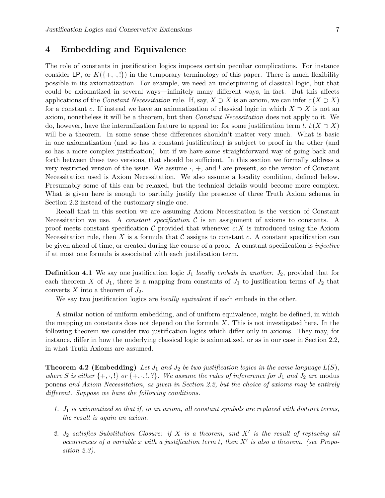### 4 Embedding and Equivalence

The role of constants in justification logics imposes certain peculiar complications. For instance consider LP, or  $K(\{+,\cdot,\cdot\})$  in the temporary terminology of this paper. There is much flexibility possible in its axiomatization. For example, we need an underpinning of classical logic, but that could be axiomatized in several ways—infinitely many different ways, in fact. But this affects applications of the Constant Necessitation rule. If, say,  $X \supset X$  is an axiom, we can infer  $c(X \supset X)$ for a constant c. If instead we have an axiomatization of classical logic in which  $X \supset X$  is not an axiom, nonetheless it will be a theorem, but then Constant Necessitation does not apply to it. We do, however, have the internalization feature to appeal to: for some justification term t,  $t:(X \supset X)$ will be a theorem. In some sense these differences shouldn't matter very much. What is basic in one axiomatization (and so has a constant justification) is subject to proof in the other (and so has a more complex justification), but if we have some straightforward way of going back and forth between these two versions, that should be sufficient. In this section we formally address a very restricted version of the issue. We assume  $\cdot$ ,  $+$ , and ! are present, so the version of Constant Necessitation used is Axiom Necessitation. We also assume a locality condition, defined below. Presumably some of this can be relaxed, but the technical details would become more complex. What is given here is enough to partially justify the presence of three Truth Axiom schema in Section 2.2 instead of the customary single one.

Recall that in this section we are assuming Axiom Necessitation is the version of Constant Necessitation we use. A *constant specification*  $\mathcal C$  is an assignment of axioms to constants. A proof meets constant specification  $\mathcal C$  provided that whenever  $c:X$  is introduced using the Axiom Necessitation rule, then  $X$  is a formula that  $\mathcal C$  assigns to constant  $c$ . A constant specification can be given ahead of time, or created during the course of a proof. A constant specification is injective if at most one formula is associated with each justification term.

**Definition 4.1** We say one justification logic  $J_1$  locally embeds in another,  $J_2$ , provided that for each theorem X of  $J_1$ , there is a mapping from constants of  $J_1$  to justification terms of  $J_2$  that converts  $X$  into a theorem of  $J_2$ .

We say two justification logics are locally equivalent if each embeds in the other.

A similar notion of uniform embedding, and of uniform equivalence, might be defined, in which the mapping on constants does not depend on the formula  $X$ . This is not investigated here. In the following theorem we consider two justification logics which differ only in axioms. They may, for instance, differ in how the underlying classical logic is axiomatized, or as in our case in Section 2.2, in what Truth Axioms are assumed.

**Theorem 4.2 (Embedding)** Let  $J_1$  and  $J_2$  be two justification logics in the same language  $L(S)$ , where S is either  $\{+,\cdot,\cdot\}$  or  $\{+,\cdot,\cdot,\cdot\}$ . We assume the rules of infererence for  $J_1$  and  $J_2$  are modus ponens and Axiom Necessitation, as given in Section 2.2, but the choice of axioms may be entirely different. Suppose we have the following conditions.

- 1.  $J_1$  is axiomatized so that if, in an axiom, all constant symbols are replaced with distinct terms, the result is again an axiom.
- 2.  $J_2$  satisfies Substitution Closure: if X is a theorem, and X' is the result of replacing all occurrences of a variable x with a justification term t, then  $X'$  is also a theorem. (see Proposition 2.3).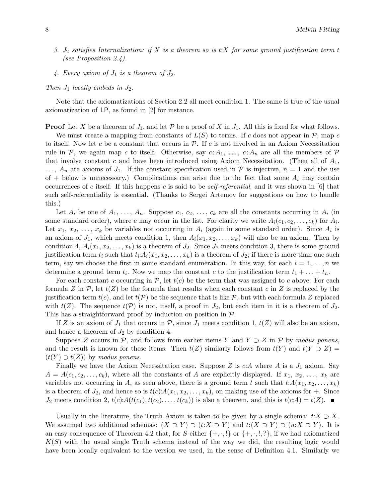- 3.  $J_2$  satisfies Internalization: if X is a theorem so is t:X for some ground justification term t (see Proposition 2.4).
- 4. Every axiom of  $J_1$  is a theorem of  $J_2$ .

Then  $J_1$  locally embeds in  $J_2$ .

Note that the axiomatizations of Section 2.2 all meet condition 1. The same is true of the usual axiomatization of LP, as found in [2] for instance.

**Proof** Let X be a theorem of  $J_1$ , and let P be a proof of X in  $J_1$ . All this is fixed for what follows.

We must create a mapping from constants of  $L(S)$  to terms. If c does not appear in  $\mathcal{P}$ , map c to itself. Now let c be a constant that occurs in  $P$ . If c is not involved in an Axiom Necessitation rule in P, we again map c to itself. Otherwise, say  $c: A_1, \ldots, c: A_n$  are all the members of P that involve constant c and have been introduced using Axiom Necessitation. (Then all of  $A_1$ ,  $\ldots$ ,  $A_n$  are axioms of  $J_1$ . If the constant specification used in P is injective,  $n = 1$  and the use of  $+$  below is unnecessary.) Complications can arise due to the fact that some  $A_i$  may contain occurrences of c itself. If this happens c is said to be *self-referential*, and it was shown in [6] that such self-referentiality is essential. (Thanks to Sergei Artemov for suggestions on how to handle this.)

Let  $A_i$  be one of  $A_1, \ldots, A_n$ . Suppose  $c_1, c_2, \ldots, c_k$  are all the constants occurring in  $A_i$  (in some standard order), where c may occur in the list. For clarity we write  $A_i(c_1, c_2, \ldots, c_k)$  for  $A_i$ . Let  $x_1, x_2, \ldots, x_k$  be variables not occurring in  $A_i$  (again in some standard order). Since  $A_i$  is an axiom of  $J_1$ , which meets condition 1, then  $A_i(x_1, x_2, \ldots, x_k)$  will also be an axiom. Then by condition 4,  $A_i(x_1, x_2, \ldots, x_k)$  is a theorem of  $J_2$ . Since  $J_2$  meets condition 3, there is some ground justification term  $t_i$  such that  $t_i: A_i(x_1, x_2, \ldots, x_k)$  is a theorem of  $J_2$ ; if there is more than one such term, say we choose the first in some standard enumeration. In this way, for each  $i = 1, \ldots, n$  we determine a ground term  $t_i$ . Now we map the constant c to the justification term  $t_1 + \ldots + t_n$ .

For each constant c occurring in  $P$ , let  $t(c)$  be the term that was assigned to c above. For each formula Z in P, let  $t(Z)$  be the formula that results when each constant c in Z is replaced by the justification term  $t(c)$ , and let  $t(\mathcal{P})$  be the sequence that is like  $\mathcal{P}$ , but with each formula Z replaced with  $t(Z)$ . The sequence  $t(\mathcal{P})$  is not, itself, a proof in  $J_2$ , but each item in it is a theorem of  $J_2$ . This has a straightforward proof by induction on position in  $P$ .

If Z is an axiom of  $J_1$  that occurs in  $P$ , since  $J_1$  meets condition 1,  $t(Z)$  will also be an axiom, and hence a theorem of  $J_2$  by condition 4.

Suppose Z occurs in P, and follows from earlier items Y and  $Y \supset Z$  in P by modus ponens, and the result is known for these items. Then  $t(Z)$  similarly follows from  $t(Y)$  and  $t(Y \supset Z)$  $(t(Y) \supset t(Z))$  by modus ponens.

Finally we have the Axiom Necessitation case. Suppose Z is  $c:A$  where A is a  $J_1$  axiom. Say  $A = A(c_1, c_2, \ldots, c_k)$ , where all the constants of A are explicitly displayed. If  $x_1, x_2, \ldots, x_k$  are variables not occurring in A, as seen above, there is a ground term t such that  $t:A(x_1, x_2, \ldots, x_k)$ is a theorem of  $J_2$ , and hence so is  $t(c):A(x_1, x_2, \ldots, x_k)$ , on making use of the axioms for  $+$ . Since  $J_2$  meets condition 2,  $t(c)$ : $A(t(c_1), t(c_2), \ldots, t(c_k))$  is also a theorem, and this is  $t(c:A) = t(Z)$ .

Usually in the literature, the Truth Axiom is taken to be given by a single schema:  $t:X \supset X$ . We assumed two additional schemas:  $(X \supset Y) \supset (t:X \supset Y)$  and  $t:(X \supset Y) \supset (u:X \supset Y)$ . It is an easy consequence of Theorem 4.2 that, for S either  $\{+, \cdot, !\}$  or  $\{+, \cdot, !\}$ , if we had axiomatized  $K(S)$  with the usual single Truth schema instead of the way we did, the resulting logic would have been locally equivalent to the version we used, in the sense of Definition 4.1. Similarly we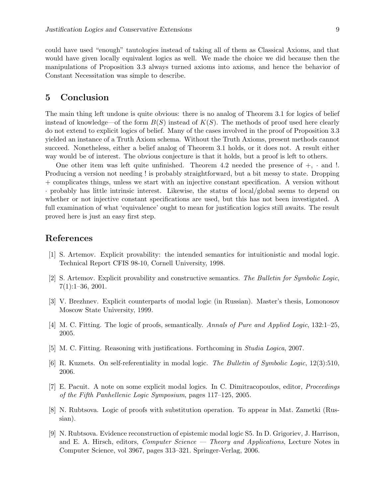could have used "enough" tautologies instead of taking all of them as Classical Axioms, and that would have given locally equivalent logics as well. We made the choice we did because then the manipulations of Proposition 3.3 always turned axioms into axioms, and hence the behavior of Constant Necessitation was simple to describe.

### 5 Conclusion

The main thing left undone is quite obvious: there is no analog of Theorem 3.1 for logics of belief instead of knowledge—of the form  $B(S)$  instead of  $K(S)$ . The methods of proof used here clearly do not extend to explicit logics of belief. Many of the cases involved in the proof of Proposition 3.3 yielded an instance of a Truth Axiom schema. Without the Truth Axioms, present methods cannot succeed. Nonetheless, either a belief analog of Theorem 3.1 holds, or it does not. A result either way would be of interest. The obvious conjecture is that it holds, but a proof is left to others.

One other item was left quite unfinished. Theorem 4.2 needed the presence of  $+$ ,  $\cdot$  and  $\cdot$ ! Producing a version not needing ! is probably straightforward, but a bit messy to state. Dropping + complicates things, unless we start with an injective constant specification. A version without · probably has little intrinsic interest. Likewise, the status of local/global seems to depend on whether or not injective constant specifications are used, but this has not been investigated. A full examination of what 'equivalence' ought to mean for justification logics still awaits. The result proved here is just an easy first step.

### References

- [1] S. Artemov. Explicit provability: the intended semantics for intuitionistic and modal logic. Technical Report CFIS 98-10, Cornell University, 1998.
- [2] S. Artemov. Explicit provability and constructive semantics. The Bulletin for Symbolic Logic, 7(1):1–36, 2001.
- [3] V. Brezhnev. Explicit counterparts of modal logic (in Russian). Master's thesis, Lomonosov Moscow State University, 1999.
- [4] M. C. Fitting. The logic of proofs, semantically. Annals of Pure and Applied Logic, 132:1–25, 2005.
- [5] M. C. Fitting. Reasoning with justifications. Forthcoming in Studia Logica, 2007.
- [6] R. Kuznets. On self-referentiality in modal logic. The Bulletin of Symbolic Logic, 12(3):510, 2006.
- [7] E. Pacuit. A note on some explicit modal logics. In C. Dimitracopoulos, editor, Proceedings of the Fifth Panhellenic Logic Symposium, pages 117–125, 2005.
- [8] N. Rubtsova. Logic of proofs with substitution operation. To appear in Mat. Zametki (Russian).
- [9] N. Rubtsova. Evidence reconstruction of epistemic modal logic S5. In D. Grigoriev, J. Harrison, and E. A. Hirsch, editors, *Computer Science* — *Theory and Applications*, Lecture Notes in Computer Science, vol 3967, pages 313–321. Springer-Verlag, 2006.